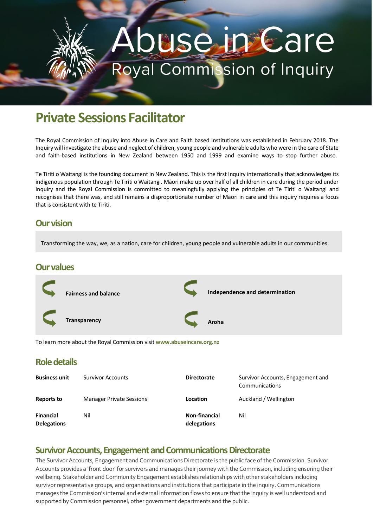# use in Care Royal Commission of Inquiry

# **Private Sessions Facilitator**

The Royal Commission of Inquiry into Abuse in Care and Faith based Institutions was established in February 2018. The Inquiry will investigate the abuse and neglect of children, young people and vulnerable adults who were in the care of State and faith-based institutions in New Zealand between 1950 and 1999 and examine ways to stop further abuse.

Te Tiriti o Waitangi is the founding document in New Zealand. This is the first Inquiry internationally that acknowledges its indigenous population through Te Tiriti o Waitangi. Māori make up over half of all children in care during the period under inquiry and the Royal Commission is committed to meaningfully applying the principles of Te Tiriti o Waitangi and recognises that there was, and still remains a disproportionate number of Māori in care and this inquiry requires a focus that is consistent with te Tiriti.

#### **Our vision**

Transforming the way, we, as a nation, care for children, young people and vulnerable adults in our communities.

#### **Our values**



To learn more about the Royal Commission visit **www.abuseincare.org.nz**

#### **Role details**

| <b>Business unit</b>                   | <b>Survivor Accounts</b>        | <b>Directorate</b>                  | Survivor Accounts, Engagement and<br>Communications |
|----------------------------------------|---------------------------------|-------------------------------------|-----------------------------------------------------|
| Reports to                             | <b>Manager Private Sessions</b> | Location                            | Auckland / Wellington                               |
| <b>Financial</b><br><b>Delegations</b> | Nil                             | <b>Non-financial</b><br>delegations | Nil                                                 |

#### **Survivor Accounts, Engagement and Communications Directorate**

The Survivor Accounts, Engagement and Communications Directorate is the public face of the Commission. Survivor Accounts provides a 'front door' for survivors and manages their journey with the Commission, including ensuring their wellbeing. Stakeholder and Community Engagement establishes relationships with other stakeholders including survivor representative groups, and organisations and institutions that participate in the inquiry. Communications manages the Commission's internal and external information flows to ensure that the inquiry is well understood and supported by Commission personnel, other government departments and the public.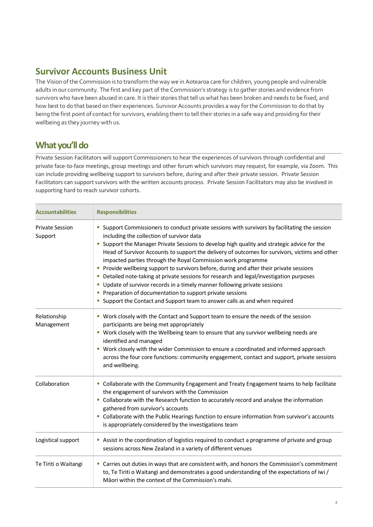## **Survivor Accounts Business Unit**

The Vision of the Commission is to transform the way we in Aotearoa care for children, young people and vulnerable adults in our community. The first and key part of the Commission's strategy is to gather stories and evidence from survivors who have been abused in care. It is their stories that tell us what has been broken and needs to be fixed, and how best to do that based on their experiences. Survivor Accounts provides a way for the Commission to do that by being the first point of contact for survivors, enabling them to tell their stories in a safe way and providing for their wellbeing as they journey with us.

## **What you'll do**

Private Session Facilitators will support Commissioners to hear the experiences of survivors through confidential and private face-to-face meetings, group meetings and other forum which survivors may request, for example, via Zoom. This can include providing wellbeing support to survivors before, during and after their private session. Private Session Facilitators can support survivors with the written accounts process. Private Session Facilitators may also be involved in supporting hard to reach survivor cohorts.

| <b>Accountabilities</b>           | <b>Responsibilities</b>                                                                                                                                                                                                                                                                                                                                                                                                                                                                                                                                                                                                                                                                                                                                                                                                   |  |  |
|-----------------------------------|---------------------------------------------------------------------------------------------------------------------------------------------------------------------------------------------------------------------------------------------------------------------------------------------------------------------------------------------------------------------------------------------------------------------------------------------------------------------------------------------------------------------------------------------------------------------------------------------------------------------------------------------------------------------------------------------------------------------------------------------------------------------------------------------------------------------------|--|--|
| <b>Private Session</b><br>Support | " Support Commissioners to conduct private sessions with survivors by facilitating the session<br>including the collection of survivor data<br>" Support the Manager Private Sessions to develop high quality and strategic advice for the<br>Head of Survivor Accounts to support the delivery of outcomes for survivors, victims and other<br>impacted parties through the Royal Commission work programme<br>Provide wellbeing support to survivors before, during and after their private sessions<br>• Detailed note-taking at private sessions for research and legal/investigation purposes<br>Update of survivor records in a timely manner following private sessions<br>Preparation of documentation to support private sessions<br>• Support the Contact and Support team to answer calls as and when required |  |  |
| Relationship<br>Management        | " Work closely with the Contact and Support team to ensure the needs of the session<br>participants are being met appropriately<br>" Work closely with the Wellbeing team to ensure that any survivor wellbeing needs are<br>identified and managed<br>" Work closely with the wider Commission to ensure a coordinated and informed approach<br>across the four core functions: community engagement, contact and support, private sessions<br>and wellbeing.                                                                                                                                                                                                                                                                                                                                                            |  |  |
| Collaboration                     | " Collaborate with the Community Engagement and Treaty Engagement teams to help facilitate<br>the engagement of survivors with the Commission<br>" Collaborate with the Research function to accurately record and analyse the information<br>gathered from survivor's accounts<br>" Collaborate with the Public Hearings function to ensure information from survivor's accounts<br>is appropriately considered by the investigations team                                                                                                                                                                                                                                                                                                                                                                               |  |  |
| Logistical support                | Assist in the coordination of logistics required to conduct a programme of private and group<br>sessions across New Zealand in a variety of different venues                                                                                                                                                                                                                                                                                                                                                                                                                                                                                                                                                                                                                                                              |  |  |
| Te Tiriti o Waitangi              | " Carries out duties in ways that are consistent with, and honors the Commission's commitment<br>to, Te Tiriti o Waitangi and demonstrates a good understanding of the expectations of iwi /<br>Māori within the context of the Commission's mahi.                                                                                                                                                                                                                                                                                                                                                                                                                                                                                                                                                                        |  |  |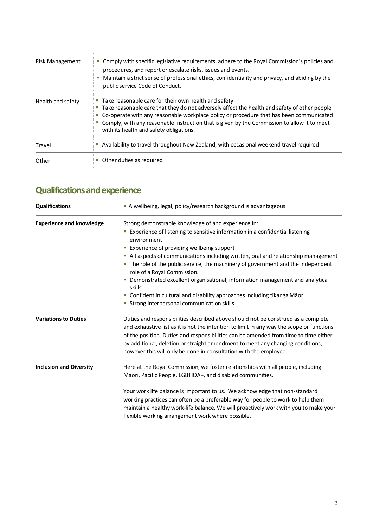| Risk Management   | Comply with specific legislative requirements, adhere to the Royal Commission's policies and<br>procedures, and report or escalate risks, issues and events.<br>Maintain a strict sense of professional ethics, confidentiality and privacy, and abiding by the<br>public service Code of Conduct.                                                                                               |  |
|-------------------|--------------------------------------------------------------------------------------------------------------------------------------------------------------------------------------------------------------------------------------------------------------------------------------------------------------------------------------------------------------------------------------------------|--|
| Health and safety | • Take reasonable care for their own health and safety<br>Take reasonable care that they do not adversely affect the health and safety of other people<br>ш<br>Co-operate with any reasonable workplace policy or procedure that has been communicated<br>Comply, with any reasonable instruction that is given by the Commission to allow it to meet<br>with its health and safety obligations. |  |
| Travel            | Availability to travel throughout New Zealand, with occasional weekend travel required<br>ш                                                                                                                                                                                                                                                                                                      |  |
| Other             | Other duties as required                                                                                                                                                                                                                                                                                                                                                                         |  |

## **Qualifications and experience**

| <b>Qualifications</b>           | A wellbeing, legal, policy/research background is advantageous                                                                                                                                                                                                                                                                                                                                                                                                                                                                                                                                                                        |  |  |
|---------------------------------|---------------------------------------------------------------------------------------------------------------------------------------------------------------------------------------------------------------------------------------------------------------------------------------------------------------------------------------------------------------------------------------------------------------------------------------------------------------------------------------------------------------------------------------------------------------------------------------------------------------------------------------|--|--|
| <b>Experience and knowledge</b> | Strong demonstrable knowledge of and experience in:<br>Experience of listening to sensitive information in a confidential listening<br>environment<br><b>Experience of providing wellbeing support</b><br>• All aspects of communications including written, oral and relationship management<br>The role of the public service, the machinery of government and the independent<br>role of a Royal Commission.<br>Demonstrated excellent organisational, information management and analytical<br>skills<br>• Confident in cultural and disability approaches including tikanga Māori<br>• Strong interpersonal communication skills |  |  |
| <b>Variations to Duties</b>     | Duties and responsibilities described above should not be construed as a complete<br>and exhaustive list as it is not the intention to limit in any way the scope or functions<br>of the position. Duties and responsibilities can be amended from time to time either<br>by additional, deletion or straight amendment to meet any changing conditions,<br>however this will only be done in consultation with the employee.                                                                                                                                                                                                         |  |  |
| <b>Inclusion and Diversity</b>  | Here at the Royal Commission, we foster relationships with all people, including<br>Māori, Pacific People, LGBTIQA+, and disabled communities.<br>Your work life balance is important to us. We acknowledge that non-standard<br>working practices can often be a preferable way for people to work to help them<br>maintain a healthy work-life balance. We will proactively work with you to make your<br>flexible working arrangement work where possible.                                                                                                                                                                         |  |  |